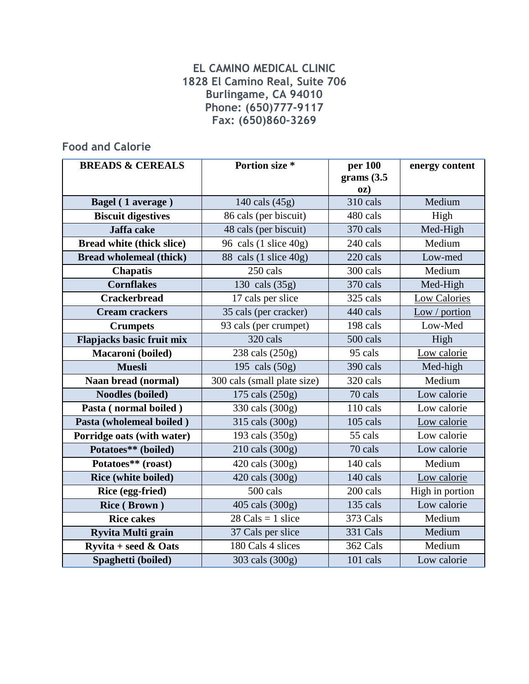## **EL CAMINO MEDICAL CLINIC 1828 El Camino Real, Suite 706 Burlingame, CA 94010 Phone: (650)777-9117 Fax: (650)860-3269**

## **Food and Calorie**

| <b>BREADS &amp; CEREALS</b>      | Portion size *                   | per 100<br>grams $(3.5)$<br>0Z) | energy content      |
|----------------------------------|----------------------------------|---------------------------------|---------------------|
| Bagel (1 average)                | 140 cals (45g)                   | 310 cals                        | Medium              |
| <b>Biscuit digestives</b>        | 86 cals (per biscuit)            | 480 cals                        | High                |
| Jaffa cake                       | 48 cals (per biscuit)            | 370 cals                        | Med-High            |
| <b>Bread white (thick slice)</b> | 96 cals (1 slice 40g)            | 240 cals                        | Medium              |
| <b>Bread wholemeal (thick)</b>   | 88 cals $(1 \text{ slice } 40g)$ | 220 cals                        | Low-med             |
| <b>Chapatis</b>                  | 250 cals                         | 300 cals                        | Medium              |
| <b>Cornflakes</b>                | 130 cals (35g)                   | 370 cals                        | Med-High            |
| <b>Crackerbread</b>              | 17 cals per slice                | 325 cals                        | <b>Low Calories</b> |
| <b>Cream crackers</b>            | 35 cals (per cracker)            | 440 cals                        | Low / portion       |
| <b>Crumpets</b>                  | 93 cals (per crumpet)            | 198 cals                        | Low-Med             |
| Flapjacks basic fruit mix        | 320 cals                         | 500 cals                        | High                |
| Macaroni (boiled)                | 238 cals (250g)                  | 95 cals                         | Low calorie         |
| <b>Muesli</b>                    | 195 cals $(50g)$                 | 390 cals                        | Med-high            |
| Naan bread (normal)              | 300 cals (small plate size)      | 320 cals                        | Medium              |
| <b>Noodles (boiled)</b>          | 175 cals (250g)                  | 70 cals                         | Low calorie         |
| Pasta (normal boiled)            | 330 cals (300g)                  | 110 cals                        | Low calorie         |
| Pasta (wholemeal boiled)         | 315 cals (300g)                  | 105 cals                        | Low calorie         |
| Porridge oats (with water)       | 193 cals (350g)                  | 55 cals                         | Low calorie         |
| Potatoes** (boiled)              | 210 cals (300g)                  | 70 cals                         | Low calorie         |
| Potatoes** (roast)               | 420 cals (300g)                  | 140 cals                        | Medium              |
| Rice (white boiled)              | 420 cals (300g)                  | 140 cals                        | Low calorie         |
| Rice (egg-fried)                 | 500 cals                         | 200 cals                        | High in portion     |
| <b>Rice (Brown)</b>              | 405 cals (300g)                  | 135 cals                        | Low calorie         |
| <b>Rice cakes</b>                | $28$ Cals = 1 slice              | 373 Cals                        | Medium              |
| <b>Ryvita Multi grain</b>        | 37 Cals per slice                | <b>331 Cals</b>                 | Medium              |
| <b>Ryvita + seed &amp; Oats</b>  | 180 Cals 4 slices                | 362 Cals                        | Medium              |
| Spaghetti (boiled)               | 303 cals (300g)                  | 101 cals                        | Low calorie         |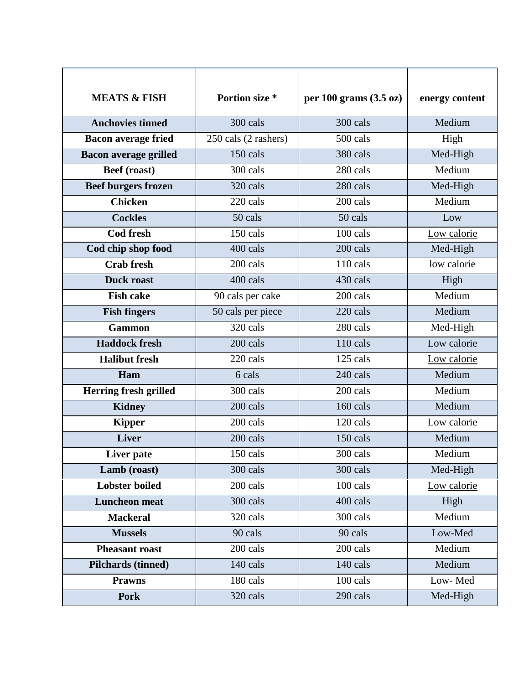| <b>MEATS &amp; FISH</b>      | Portion size *        | per 100 grams $(3.5 \text{ oz})$ | energy content |
|------------------------------|-----------------------|----------------------------------|----------------|
| <b>Anchovies tinned</b>      | 300 cals              | 300 cals                         | Medium         |
| <b>Bacon average fried</b>   | 250 cals (2 rashers)  | 500 cals                         | High           |
| <b>Bacon average grilled</b> | 150 cals              | 380 cals                         | Med-High       |
| Beef (roast)                 | 300 cals              | 280 cals                         | Medium         |
| <b>Beef burgers frozen</b>   | 320 cals              | 280 cals                         | Med-High       |
| <b>Chicken</b>               | 220 cals              | 200 cals                         | Medium         |
| <b>Cockles</b>               | 50 cals               | 50 cals                          | Low            |
| <b>Cod fresh</b>             | 150 cals              | 100 cals                         | Low calorie    |
| Cod chip shop food           | 400 cals              | 200 cals                         | Med-High       |
| <b>Crab</b> fresh            | 200 cals              | 110 cals                         | low calorie    |
| <b>Duck roast</b>            | 400 cals              | 430 cals                         | High           |
| <b>Fish cake</b>             | 90 cals per cake      | 200 cals                         | Medium         |
| <b>Fish fingers</b>          | 50 cals per piece     | 220 cals                         | Medium         |
| <b>Gammon</b>                | 320 cals              | 280 cals                         | Med-High       |
| <b>Haddock fresh</b>         | 200 cals              | 110 cals                         | Low calorie    |
| <b>Halibut fresh</b>         | 220 cals              | 125 cals                         | Low calorie    |
| Ham                          | 6 cals                | 240 cals                         | Medium         |
| Herring fresh grilled        | 300 cals              | 200 cals                         | Medium         |
| <b>Kidney</b>                | $\overline{200}$ cals | 160 cals                         | Medium         |
| <b>Kipper</b>                | 200 cals              | 120 cals                         | Low calorie    |
| <b>Liver</b>                 | 200 cals              | 150 cals                         | Medium         |
| Liver pate                   | 150 cals              | 300 cals                         | Medium         |
| Lamb (roast)                 | 300 cals              | 300 cals                         | Med-High       |
| <b>Lobster boiled</b>        | 200 cals              | 100 cals                         | Low calorie    |
| <b>Luncheon</b> meat         | 300 cals              | 400 cals                         | High           |
| <b>Mackeral</b>              | 320 cals              | 300 cals                         | Medium         |
| <b>Mussels</b>               | 90 cals               | 90 cals                          | Low-Med        |
| <b>Pheasant roast</b>        | 200 cals              | 200 cals                         | Medium         |
| <b>Pilchards (tinned)</b>    | 140 cals              | 140 cals                         | Medium         |
| <b>Prawns</b>                | 180 cals              | 100 cals                         | Low-Med        |
| <b>Pork</b>                  | 320 cals              | 290 cals                         | Med-High       |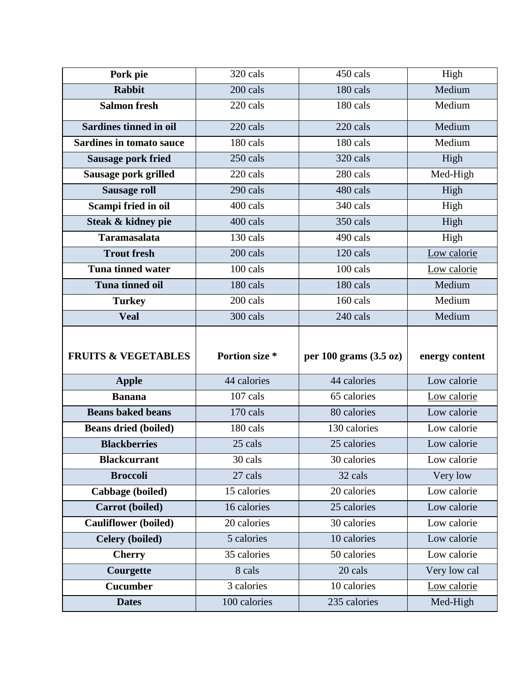| Pork pie                        | 320 cals              | 450 cals                         | High           |
|---------------------------------|-----------------------|----------------------------------|----------------|
| <b>Rabbit</b>                   | 200 cals              | 180 cals                         | Medium         |
| <b>Salmon fresh</b>             | 220 cals              | 180 cals                         | Medium         |
| <b>Sardines tinned in oil</b>   | 220 cals              | 220 cals                         | Medium         |
| <b>Sardines in tomato sauce</b> | 180 cals              | 180 cals                         | Medium         |
| <b>Sausage pork fried</b>       | 250 cals              | 320 cals                         | High           |
| Sausage pork grilled            | 220 cals              | 280 cals                         | Med-High       |
| <b>Sausage roll</b>             | 290 cals              | 480 cals                         | High           |
| Scampi fried in oil             | 400 cals              | 340 cals                         | High           |
| Steak & kidney pie              | 400 cals              | 350 cals                         | High           |
| <b>Taramasalata</b>             | 130 cals              | 490 cals                         | High           |
| <b>Trout fresh</b>              | 200 cals              | 120 cals                         | Low calorie    |
| <b>Tuna tinned water</b>        | 100 cals              | 100 cals                         | Low calorie    |
| <b>Tuna tinned oil</b>          | 180 cals              | 180 cals                         | Medium         |
| <b>Turkey</b>                   | 200 cals              | 160 cals                         | Medium         |
| <b>Veal</b>                     | 300 cals              | 240 cals                         | Medium         |
|                                 |                       |                                  |                |
| <b>FRUITS &amp; VEGETABLES</b>  | Portion size *        | per 100 grams $(3.5 \text{ oz})$ | energy content |
| <b>Apple</b>                    | 44 calories           | 44 calories                      | Low calorie    |
| <b>Banana</b>                   | $\overline{107}$ cals | 65 calories                      | Low calorie    |
| <b>Beans baked beans</b>        | 170 cals              | 80 calories                      | Low calorie    |
| <b>Beans dried (boiled)</b>     | 180 cals              | 130 calories                     | Low calorie    |
| <b>Blackberries</b>             | 25 cals               | 25 calories                      | Low calorie    |
| <b>Blackcurrant</b>             | 30 cals               | 30 calories                      | Low calorie    |
| <b>Broccoli</b>                 | 27 cals               | 32 cals                          | Very low       |
| Cabbage (boiled)                | 15 calories           | 20 calories                      | Low calorie    |
| Carrot (boiled)                 | 16 calories           | 25 calories                      | Low calorie    |
| <b>Cauliflower</b> (boiled)     | 20 calories           | 30 calories                      | Low calorie    |
| <b>Celery</b> (boiled)          | 5 calories            | 10 calories                      | Low calorie    |
| <b>Cherry</b>                   | 35 calories           | 50 calories                      | Low calorie    |
| Courgette                       | 8 cals                | 20 cals                          | Very low cal   |
| Cucumber                        | 3 calories            | 10 calories                      | Low calorie    |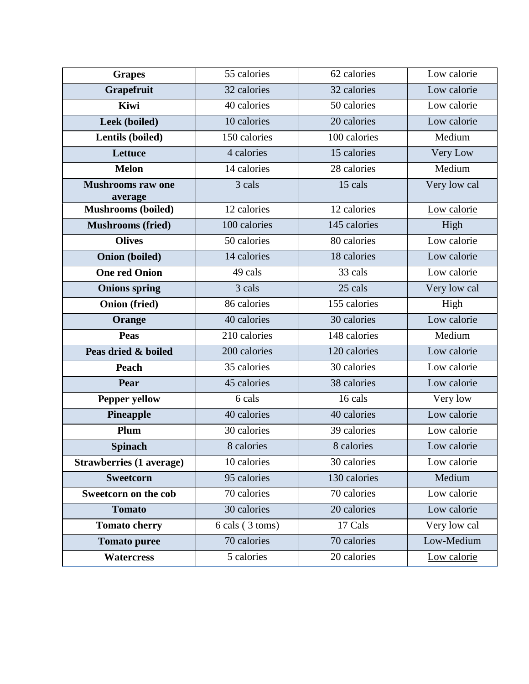| <b>Grapes</b>                   | 55 calories     | 62 calories  | Low calorie  |
|---------------------------------|-----------------|--------------|--------------|
| Grapefruit                      | 32 calories     | 32 calories  | Low calorie  |
| Kiwi                            | 40 calories     | 50 calories  | Low calorie  |
| Leek (boiled)                   | 10 calories     | 20 calories  | Low calorie  |
| Lentils (boiled)                | 150 calories    | 100 calories | Medium       |
| <b>Lettuce</b>                  | 4 calories      | 15 calories  | Very Low     |
| <b>Melon</b>                    | 14 calories     | 28 calories  | Medium       |
| <b>Mushrooms</b> raw one        | 3 cals          | 15 cals      | Very low cal |
| average                         |                 |              |              |
| <b>Mushrooms (boiled)</b>       | 12 calories     | 12 calories  | Low calorie  |
| <b>Mushrooms (fried)</b>        | 100 calories    | 145 calories | High         |
| <b>Olives</b>                   | 50 calories     | 80 calories  | Low calorie  |
| <b>Onion</b> (boiled)           | 14 calories     | 18 calories  | Low calorie  |
| <b>One red Onion</b>            | 49 cals         | 33 cals      | Low calorie  |
| <b>Onions spring</b>            | 3 cals          | 25 cals      | Very low cal |
| <b>Onion</b> (fried)            | 86 calories     | 155 calories | High         |
| Orange                          | 40 calories     | 30 calories  | Low calorie  |
| <b>Peas</b>                     | 210 calories    | 148 calories | Medium       |
| Peas dried & boiled             | 200 calories    | 120 calories | Low calorie  |
| Peach                           | 35 calories     | 30 calories  | Low calorie  |
| Pear                            | 45 calories     | 38 calories  | Low calorie  |
| <b>Pepper yellow</b>            | 6 cals          | 16 cals      | Very low     |
| <b>Pineapple</b>                | 40 calories     | 40 calories  | Low calorie  |
| Plum                            | 30 calories     | 39 calories  | Low calorie  |
| <b>Spinach</b>                  | 8 calories      | 8 calories   | Low calorie  |
| <b>Strawberries (1 average)</b> | 10 calories     | 30 calories  | Low calorie  |
| Sweetcorn                       | 95 calories     | 130 calories | Medium       |
| Sweetcorn on the cob            | 70 calories     | 70 calories  | Low calorie  |
| <b>Tomato</b>                   | 30 calories     | 20 calories  | Low calorie  |
| <b>Tomato cherry</b>            | 6 cals (3 toms) | 17 Cals      | Very low cal |
| <b>Tomato puree</b>             | 70 calories     | 70 calories  | Low-Medium   |
| <b>Watercress</b>               | 5 calories      | 20 calories  | Low calorie  |